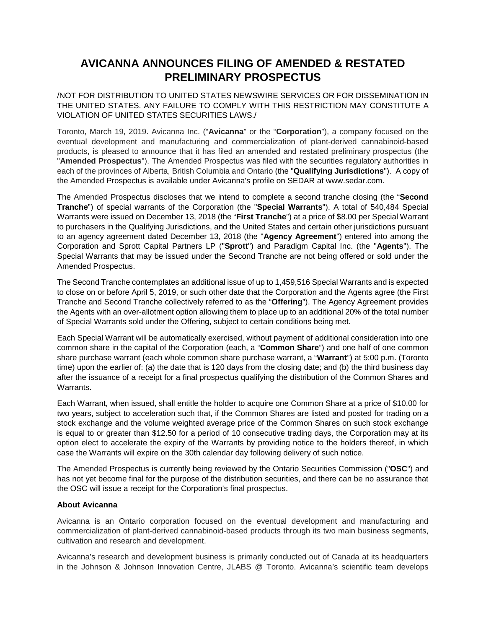## **AVICANNA ANNOUNCES FILING OF AMENDED & RESTATED PRELIMINARY PROSPECTUS**

/NOT FOR DISTRIBUTION TO UNITED STATES NEWSWIRE SERVICES OR FOR DISSEMINATION IN THE UNITED STATES. ANY FAILURE TO COMPLY WITH THIS RESTRICTION MAY CONSTITUTE A VIOLATION OF UNITED STATES SECURITIES LAWS./

Toronto, March 19, 2019. Avicanna Inc. ("**Avicanna**" or the "**Corporation**"), a company focused on the eventual development and manufacturing and commercialization of plant-derived cannabinoid-based products, is pleased to announce that it has filed an amended and restated preliminary prospectus (the "**Amended Prospectus**"). The Amended Prospectus was filed with the securities regulatory authorities in each of the provinces of Alberta, British Columbia and Ontario (the "**Qualifying Jurisdictions**"). A copy of the Amended Prospectus is available under Avicanna's profile on SEDAR at www.sedar.com.

The Amended Prospectus discloses that we intend to complete a second tranche closing (the "**Second Tranche**") of special warrants of the Corporation (the "**Special Warrants**"). A total of 540,484 Special Warrants were issued on December 13, 2018 (the "**First Tranche**") at a price of \$8.00 per Special Warrant to purchasers in the Qualifying Jurisdictions, and the United States and certain other jurisdictions pursuant to an agency agreement dated December 13, 2018 (the "**Agency Agreement**") entered into among the Corporation and Sprott Capital Partners LP ("**Sprott**") and Paradigm Capital Inc. (the "**Agents**"). The Special Warrants that may be issued under the Second Tranche are not being offered or sold under the Amended Prospectus.

The Second Tranche contemplates an additional issue of up to 1,459,516 Special Warrants and is expected to close on or before April 5, 2019, or such other date that the Corporation and the Agents agree (the First Tranche and Second Tranche collectively referred to as the "**Offering**"). The Agency Agreement provides the Agents with an over-allotment option allowing them to place up to an additional 20% of the total number of Special Warrants sold under the Offering, subject to certain conditions being met.

Each Special Warrant will be automatically exercised, without payment of additional consideration into one common share in the capital of the Corporation (each, a "**Common Share**") and one half of one common share purchase warrant (each whole common share purchase warrant, a "**Warrant**") at 5:00 p.m. (Toronto time) upon the earlier of: (a) the date that is 120 days from the closing date; and (b) the third business day after the issuance of a receipt for a final prospectus qualifying the distribution of the Common Shares and Warrants.

Each Warrant, when issued, shall entitle the holder to acquire one Common Share at a price of \$10.00 for two years, subject to acceleration such that, if the Common Shares are listed and posted for trading on a stock exchange and the volume weighted average price of the Common Shares on such stock exchange is equal to or greater than \$12.50 for a period of 10 consecutive trading days, the Corporation may at its option elect to accelerate the expiry of the Warrants by providing notice to the holders thereof, in which case the Warrants will expire on the 30th calendar day following delivery of such notice.

The Amended Prospectus is currently being reviewed by the Ontario Securities Commission ("**OSC**") and has not yet become final for the purpose of the distribution securities, and there can be no assurance that the OSC will issue a receipt for the Corporation's final prospectus.

## **About Avicanna**

Avicanna is an Ontario corporation focused on the eventual development and manufacturing and commercialization of plant-derived cannabinoid-based products through its two main business segments, cultivation and research and development.

Avicanna's research and development business is primarily conducted out of Canada at its headquarters in the Johnson & Johnson Innovation Centre, JLABS @ Toronto. Avicanna's scientific team develops